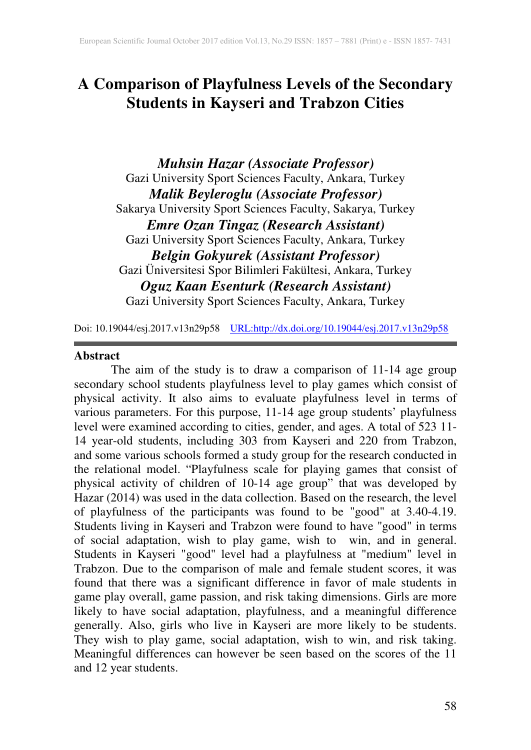# **A Comparison of Playfulness Levels of the Secondary Students in Kayseri and Trabzon Cities**

*Muhsin Hazar (Associate Professor)* Gazi University Sport Sciences Faculty, Ankara, Turkey *Malik Beyleroglu (Associate Professor)* Sakarya University Sport Sciences Faculty, Sakarya, Turkey *Emre Ozan Tingaz (Research Assistant)* Gazi University Sport Sciences Faculty, Ankara, Turkey *Belgin Gokyurek (Assistant Professor)* Gazi Üniversitesi Spor Bilimleri Fakültesi, Ankara, Turkey *Oguz Kaan Esenturk (Research Assistant)* Gazi University Sport Sciences Faculty, Ankara, Turkey

Doi: 10.19044/esj.2017.v13n29p58 URL:http://dx.doi.org/10.19044/esj.2017.v13n29p58

#### **Abstract**

The aim of the study is to draw a comparison of 11-14 age group secondary school students playfulness level to play games which consist of physical activity. It also aims to evaluate playfulness level in terms of various parameters. For this purpose, 11-14 age group students' playfulness level were examined according to cities, gender, and ages. A total of 523 11- 14 year-old students, including 303 from Kayseri and 220 from Trabzon, and some various schools formed a study group for the research conducted in the relational model. "Playfulness scale for playing games that consist of physical activity of children of 10-14 age group" that was developed by Hazar (2014) was used in the data collection. Based on the research, the level of playfulness of the participants was found to be "good" at 3.40-4.19. Students living in Kayseri and Trabzon were found to have "good" in terms of social adaptation, wish to play game, wish to win, and in general. Students in Kayseri "good" level had a playfulness at "medium" level in Trabzon. Due to the comparison of male and female student scores, it was found that there was a significant difference in favor of male students in game play overall, game passion, and risk taking dimensions. Girls are more likely to have social adaptation, playfulness, and a meaningful difference generally. Also, girls who live in Kayseri are more likely to be students. They wish to play game, social adaptation, wish to win, and risk taking. Meaningful differences can however be seen based on the scores of the 11 and 12 year students.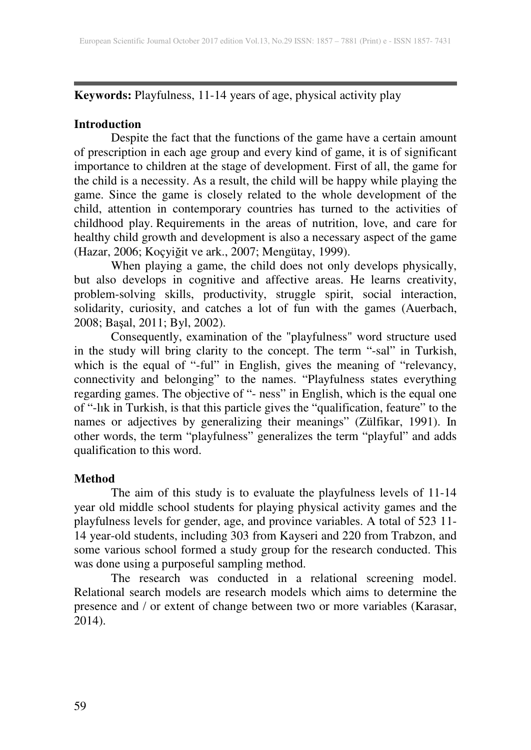**Keywords:** Playfulness, 11-14 years of age, physical activity play

## **Introduction**

Despite the fact that the functions of the game have a certain amount of prescription in each age group and every kind of game, it is of significant importance to children at the stage of development. First of all, the game for the child is a necessity. As a result, the child will be happy while playing the game. Since the game is closely related to the whole development of the child, attention in contemporary countries has turned to the activities of childhood play. Requirements in the areas of nutrition, love, and care for healthy child growth and development is also a necessary aspect of the game (Hazar, 2006; Koçyiğit ve ark., 2007; Mengütay, 1999).

When playing a game, the child does not only develops physically, but also develops in cognitive and affective areas. He learns creativity, problem-solving skills, productivity, struggle spirit, social interaction, solidarity, curiosity, and catches a lot of fun with the games (Auerbach, 2008; Başal, 2011; Byl, 2002).

Consequently, examination of the "playfulness" word structure used in the study will bring clarity to the concept. The term "-sal" in Turkish, which is the equal of "-ful" in English, gives the meaning of "relevancy, connectivity and belonging" to the names. "Playfulness states everything regarding games. The objective of "- ness" in English, which is the equal one of "-lık in Turkish, is that this particle gives the "qualification, feature" to the names or adjectives by generalizing their meanings" (Zülfikar, 1991). In other words, the term "playfulness" generalizes the term "playful" and adds qualification to this word.

# **Method**

The aim of this study is to evaluate the playfulness levels of 11-14 year old middle school students for playing physical activity games and the playfulness levels for gender, age, and province variables. A total of 523 11- 14 year-old students, including 303 from Kayseri and 220 from Trabzon, and some various school formed a study group for the research conducted. This was done using a purposeful sampling method.

The research was conducted in a relational screening model. Relational search models are research models which aims to determine the presence and / or extent of change between two or more variables (Karasar, 2014).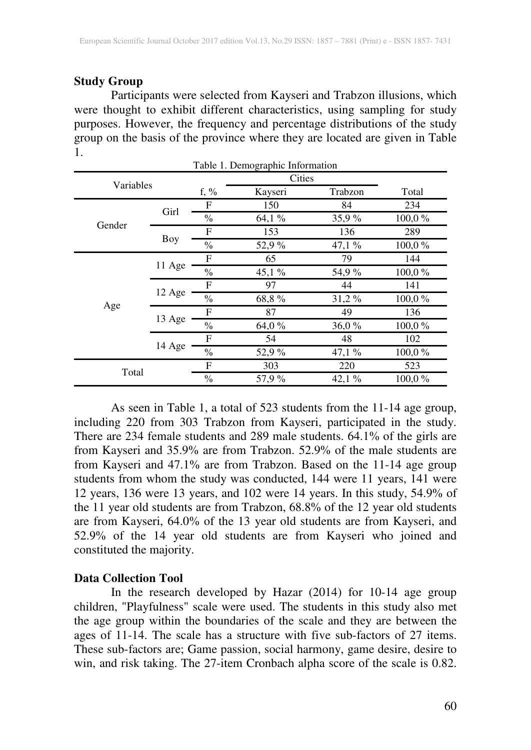## **Study Group**

Participants were selected from Kayseri and Trabzon illusions, which were thought to exhibit different characteristics, using sampling for study purposes. However, the frequency and percentage distributions of the study group on the basis of the province where they are located are given in Table 1. Table 1. Demographic Information

| I able 1. Demographic Information |           |               |               |          |                                                           |  |  |  |
|-----------------------------------|-----------|---------------|---------------|----------|-----------------------------------------------------------|--|--|--|
|                                   | Variables |               | <b>Cities</b> |          |                                                           |  |  |  |
|                                   |           |               | Kayseri       | Trabzon  | Total                                                     |  |  |  |
|                                   | Girl      | F             | 150           | 84       | 234                                                       |  |  |  |
|                                   |           | $\frac{0}{0}$ | 64,1 %        | 35,9 %   | 100,0%                                                    |  |  |  |
| Gender                            |           | F             | 153           | 136      | 289                                                       |  |  |  |
|                                   | Boy       | $\frac{0}{0}$ | 52,9 %        | 47,1%    | 100,0%                                                    |  |  |  |
|                                   |           | F             | 65            | 79       | 144                                                       |  |  |  |
|                                   | 11 Age    | $\frac{0}{0}$ | 45,1%         | 54,9 %   | 100,0%                                                    |  |  |  |
|                                   |           | F             | 97            | 44       | 141                                                       |  |  |  |
|                                   | 12 Age    | $\frac{0}{0}$ | 68,8%         | $31,2\%$ | 100,0%<br>136<br>100,0%<br>102<br>100,0%<br>523<br>100,0% |  |  |  |
| Age                               |           | F             | 87            | 49       |                                                           |  |  |  |
|                                   | 13 Age    | $\frac{0}{0}$ | 64,0 %        | 36,0%    |                                                           |  |  |  |
|                                   |           | F             | 54            | 48       |                                                           |  |  |  |
|                                   | 14 Age    | $\frac{0}{0}$ | 52,9 %        | 47,1%    |                                                           |  |  |  |
|                                   |           |               | 303           | 220      |                                                           |  |  |  |
| Total                             |           | $\frac{0}{0}$ | 57,9 %        | 42,1%    |                                                           |  |  |  |

As seen in Table 1, a total of 523 students from the 11-14 age group, including 220 from 303 Trabzon from Kayseri, participated in the study. There are 234 female students and 289 male students. 64.1% of the girls are from Kayseri and 35.9% are from Trabzon. 52.9% of the male students are from Kayseri and 47.1% are from Trabzon. Based on the 11-14 age group students from whom the study was conducted, 144 were 11 years, 141 were 12 years, 136 were 13 years, and 102 were 14 years. In this study, 54.9% of the 11 year old students are from Trabzon, 68.8% of the 12 year old students are from Kayseri, 64.0% of the 13 year old students are from Kayseri, and 52.9% of the 14 year old students are from Kayseri who joined and constituted the majority.

### **Data Collection Tool**

In the research developed by Hazar (2014) for 10-14 age group children, "Playfulness" scale were used. The students in this study also met the age group within the boundaries of the scale and they are between the ages of 11-14. The scale has a structure with five sub-factors of 27 items. These sub-factors are; Game passion, social harmony, game desire, desire to win, and risk taking. The 27-item Cronbach alpha score of the scale is 0.82.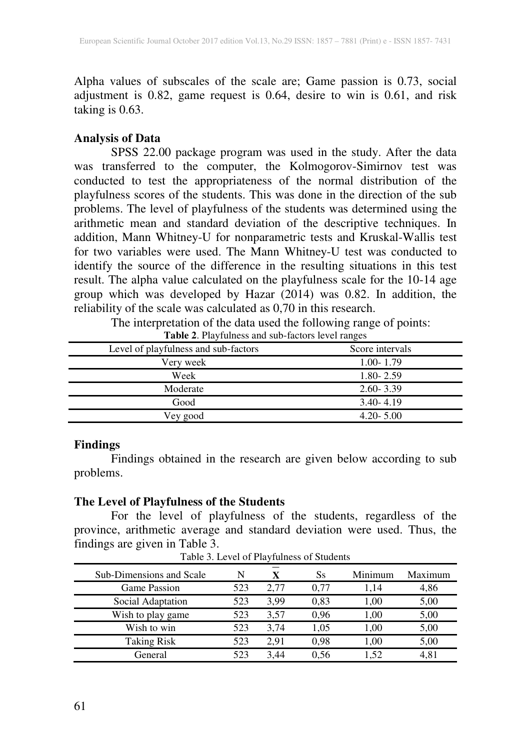Alpha values of subscales of the scale are; Game passion is 0.73, social adjustment is 0.82, game request is 0.64, desire to win is 0.61, and risk taking is 0.63.

## **Analysis of Data**

SPSS 22.00 package program was used in the study. After the data was transferred to the computer, the Kolmogorov-Simirnov test was conducted to test the appropriateness of the normal distribution of the playfulness scores of the students. This was done in the direction of the sub problems. The level of playfulness of the students was determined using the arithmetic mean and standard deviation of the descriptive techniques. In addition, Mann Whitney-U for nonparametric tests and Kruskal-Wallis test for two variables were used. The Mann Whitney-U test was conducted to identify the source of the difference in the resulting situations in this test result. The alpha value calculated on the playfulness scale for the 10-14 age group which was developed by Hazar (2014) was 0.82. In addition, the reliability of the scale was calculated as 0,70 in this research.

The interpretation of the data used the following range of points:

| <b>Tuble 2.</b> I hay runned and such metors for example. |                 |
|-----------------------------------------------------------|-----------------|
| Level of playfulness and sub-factors                      | Score intervals |
| Very week                                                 | $1.00 - 1.79$   |
| Week                                                      | $1.80 - 2.59$   |
| Moderate                                                  | $2.60 - 3.39$   |
| Good                                                      | $3.40 - 4.19$   |
| Vey good                                                  | $4.20 - 5.00$   |

**Table 2**. Playfulness and sub-factors level ranges

### **Findings**

Findings obtained in the research are given below according to sub problems.

### **The Level of Playfulness of the Students**

For the level of playfulness of the students, regardless of the province, arithmetic average and standard deviation were used. Thus, the findings are given in Table 3.

| Sub-Dimensions and Scale | N   |      | Ss   | Minimum | Maximum |
|--------------------------|-----|------|------|---------|---------|
| <b>Game Passion</b>      | 523 | 2.77 | 0.77 | 1.14    | 4,86    |
| Social Adaptation        | 523 | 3.99 | 0.83 | 1.00    | 5,00    |
| Wish to play game        | 523 | 3.57 | 0.96 | 1.00    | 5,00    |
| Wish to win              | 523 | 3.74 | 1.05 | 1.00    | 5,00    |
| <b>Taking Risk</b>       | 523 | 2.91 | 0.98 | 1.00    | 5,00    |
| General                  | 523 | 3.44 | 0.56 | 1.52    | 4,81    |
|                          |     |      |      |         |         |

Table 3. Level of Playfulness of Students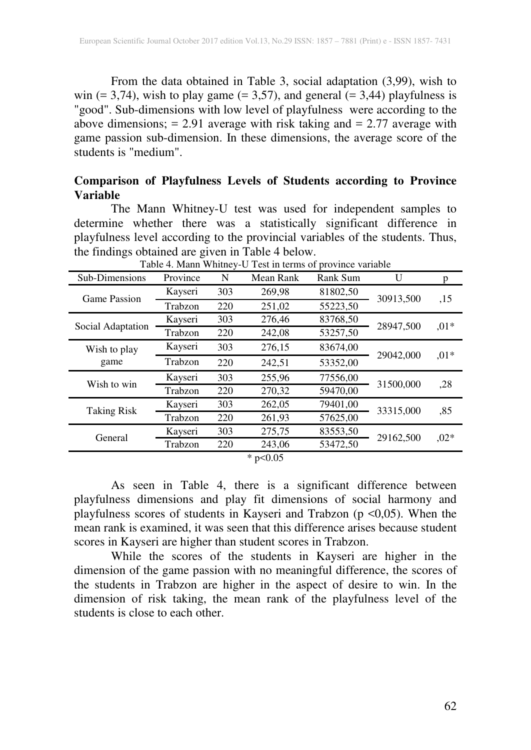From the data obtained in Table 3, social adaptation (3,99), wish to win  $(= 3,74)$ , wish to play game  $(= 3,57)$ , and general  $(= 3,44)$  playfulness is "good". Sub-dimensions with low level of playfulness were according to the above dimensions;  $= 2.91$  average with risk taking and  $= 2.77$  average with game passion sub-dimension. In these dimensions, the average score of the students is "medium".

### **Comparison of Playfulness Levels of Students according to Province Variable**

The Mann Whitney-U test was used for independent samples to determine whether there was a statistically significant difference in playfulness level according to the provincial variables of the students. Thus, the findings obtained are given in Table 4 below.

|                   |          |     | Table 4. Maille Willing PU Test in terms of province variable |          |                                                                            |        |
|-------------------|----------|-----|---------------------------------------------------------------|----------|----------------------------------------------------------------------------|--------|
| Sub-Dimensions    | Province | N   | Mean Rank                                                     | Rank Sum |                                                                            | p      |
| Game Passion      | Kayseri  | 303 | 269,98                                                        | 81802,50 |                                                                            | ,15    |
|                   | Trabzon  | 220 | 251,02                                                        | 55223,50 | 30913,500<br>28947,500<br>29042,000<br>31500,000<br>33315,000<br>29162,500 |        |
| Social Adaptation | Kayseri  | 303 | 276,46                                                        | 83768,50 | U                                                                          | $,01*$ |
|                   | Trabzon  | 220 | 242,08                                                        | 53257,50 |                                                                            |        |
| Wish to play      | Kayseri  | 303 | 276,15                                                        | 83674,00 |                                                                            | $,01*$ |
| game              | Trabzon  | 220 | 242,51                                                        | 53352,00 |                                                                            |        |
| Wish to win       | Kayseri  | 303 | 255,96                                                        | 77556,00 |                                                                            | ,28    |
|                   | Trabzon  | 220 | 270,32                                                        | 59470,00 |                                                                            |        |
| Taking Risk       | Kayseri  | 303 | 262,05                                                        | 79401,00 |                                                                            | ,85    |
|                   | Trabzon  | 220 | 261,93                                                        | 57625,00 |                                                                            |        |
| General           | Kayseri  | 303 | 275,75                                                        | 83553,50 |                                                                            | $,02*$ |
|                   | Trabzon  | 220 | 243,06                                                        | 53472,50 |                                                                            |        |
|                   |          |     | * $p<0.05$                                                    |          |                                                                            |        |

Table 4. Mann Whitney-U Test in terms of province variable

As seen in Table 4, there is a significant difference between playfulness dimensions and play fit dimensions of social harmony and playfulness scores of students in Kayseri and Trabzon (p <0,05). When the mean rank is examined, it was seen that this difference arises because student scores in Kayseri are higher than student scores in Trabzon.

While the scores of the students in Kayseri are higher in the dimension of the game passion with no meaningful difference, the scores of the students in Trabzon are higher in the aspect of desire to win. In the dimension of risk taking, the mean rank of the playfulness level of the students is close to each other.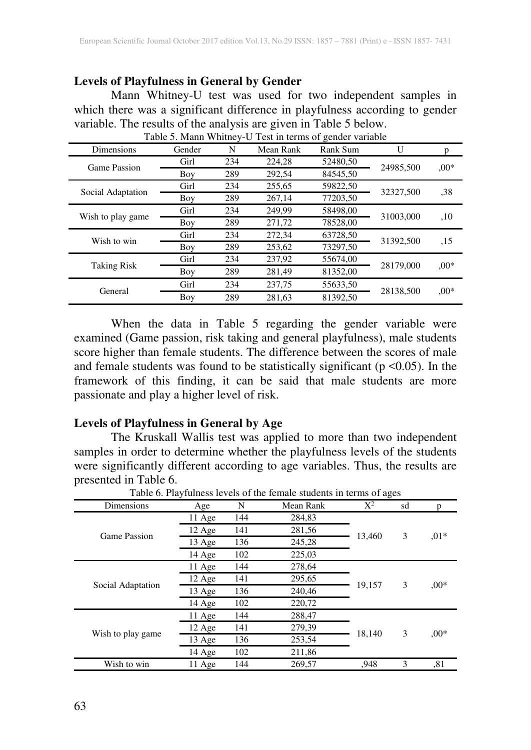#### **Levels of Playfulness in General by Gender**

Mann Whitney-U test was used for two independent samples in which there was a significant difference in playfulness according to gender variable. The results of the analysis are given in Table 5 below.

| Table 5. Mann Whitney-U Test in terms of gender variable |        |     |           |          |           |         |  |  |
|----------------------------------------------------------|--------|-----|-----------|----------|-----------|---------|--|--|
| Dimensions                                               | Gender | N   | Mean Rank | Rank Sum | U         | p       |  |  |
| Game Passion                                             | Girl   | 234 | 224,28    | 52480,50 | 24985,500 | $.00*$  |  |  |
|                                                          | Boy    | 289 | 292,54    | 84545.50 |           |         |  |  |
|                                                          | Girl   | 234 | 255,65    | 59822,50 |           | .38     |  |  |
| Social Adaptation                                        | Boy    | 289 | 267,14    | 77203,50 | 32327,500 |         |  |  |
|                                                          | Girl   | 234 | 249.99    | 58498,00 | 31003,000 | ,10     |  |  |
| Wish to play game                                        | Boy    | 289 | 271,72    | 78528.00 |           |         |  |  |
| Wish to win                                              | Girl   | 234 | 272,34    | 63728,50 | 31392,500 |         |  |  |
|                                                          | Boy    | 289 | 253,62    | 73297,50 |           | ,15     |  |  |
|                                                          | Girl   | 234 | 237,92    | 55674,00 |           |         |  |  |
| <b>Taking Risk</b>                                       | Boy    | 289 | 281,49    | 81352.00 | 28179,000 | $.00*$  |  |  |
|                                                          | Girl   | 234 | 237,75    | 55633,50 |           |         |  |  |
| General                                                  | Boy    | 289 | 281.63    | 81392.50 | 28138,500 | $0.00*$ |  |  |

When the data in Table 5 regarding the gender variable were examined (Game passion, risk taking and general playfulness), male students score higher than female students. The difference between the scores of male and female students was found to be statistically significant ( $p \le 0.05$ ). In the framework of this finding, it can be said that male students are more passionate and play a higher level of risk.

### **Levels of Playfulness in General by Age**

The Kruskall Wallis test was applied to more than two independent samples in order to determine whether the playfulness levels of the students were significantly different according to age variables. Thus, the results are presented in Table 6.

| Dimensions        | Age    | N   | Mean Rank | $X^2$  | sd |        |
|-------------------|--------|-----|-----------|--------|----|--------|
|                   | 11 Age | 144 | 284,83    |        |    |        |
|                   | 12 Age | 141 | 281,56    |        |    |        |
| Game Passion      | 13 Age | 136 | 245,28    | 13,460 | 3  | $.01*$ |
|                   | 14 Age | 102 | 225,03    |        |    |        |
|                   | 11 Age | 144 | 278,64    |        |    | $,00*$ |
| Social Adaptation | 12 Age | 141 | 295,65    |        |    |        |
|                   | 13 Age | 136 | 240,46    | 19,157 | 3  |        |
|                   | 14 Age | 102 | 220,72    |        |    |        |
|                   | 11 Age | 144 | 288,47    |        |    |        |
|                   | 12 Age | 141 | 279,39    |        |    |        |
| Wish to play game | 13 Age | 136 | 253,54    | 18,140 | 3  | $.00*$ |
|                   | 14 Age | 102 | 211,86    |        |    |        |
| Wish to win       | 11 Age | 144 | 269.57    | .948   | 3  | , 81   |

 $T = \frac{1}{2}$   $\frac{C \text{th}}{T}$  functionale students in terms of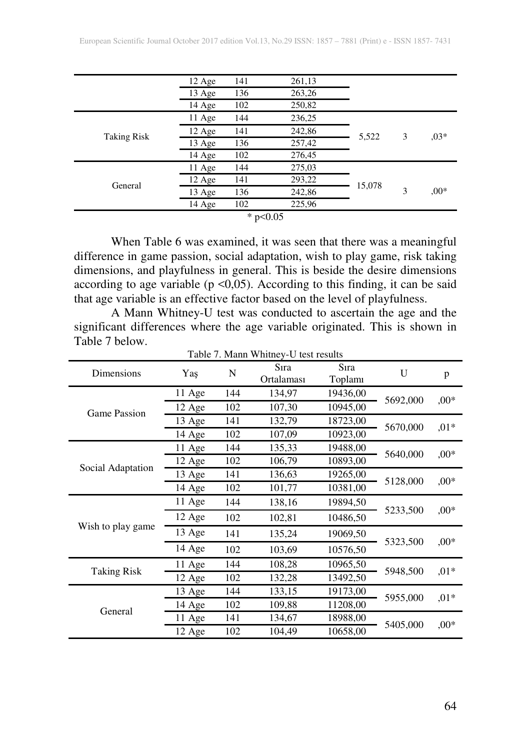| 12 Age<br>13 Age<br>14 Age<br>11 Age | 141<br>136<br>102<br>144 | 261,13<br>263,26<br>250,82<br>236,25 |            |        |        |
|--------------------------------------|--------------------------|--------------------------------------|------------|--------|--------|
|                                      |                          |                                      |            |        |        |
|                                      |                          |                                      |            |        |        |
|                                      |                          |                                      |            |        |        |
|                                      |                          |                                      |            | 3      | $,03*$ |
| 12 Age                               | 141                      | 242,86                               | 5,522      |        |        |
| 13 Age                               | 136                      | 257,42                               |            |        |        |
| 14 Age                               | 102                      | 276,45                               |            |        |        |
| 11 Age                               | 144                      | 275,03                               |            |        | $,00*$ |
| 12 Age                               | 141                      | 293,22                               |            |        |        |
| 13 Age                               | 136                      | 242,86                               |            | 3      |        |
| 14 Age                               | 102                      | 225,96                               |            |        |        |
|                                      |                          |                                      | * $p<0.05$ | 15,078 |        |

When Table 6 was examined, it was seen that there was a meaningful difference in game passion, social adaptation, wish to play game, risk taking dimensions, and playfulness in general. This is beside the desire dimensions according to age variable ( $p \le 0.05$ ). According to this finding, it can be said that age variable is an effective factor based on the level of playfulness.

A Mann Whitney-U test was conducted to ascertain the age and the significant differences where the age variable originated. This is shown in Table 7 below.

| Dimensions          | Yaş    | N   | Sira<br>Ortalaması | Sira<br>Toplamı | U        | p       |
|---------------------|--------|-----|--------------------|-----------------|----------|---------|
| <b>Game Passion</b> | 11 Age | 144 | 134,97             | 19436,00        |          |         |
|                     | 12 Age | 102 | 107,30             | 10945,00        | 5692,000 | $,00*$  |
|                     | 13 Age | 141 | 132,79             | 18723,00        | 5670,000 | $,01*$  |
|                     | 14 Age | 102 | 107,09             | 10923,00        |          |         |
|                     | 11 Age | 144 | 135,33             | 19488,00        | 5640,000 | $,00*$  |
| Social Adaptation   | 12 Age | 102 | 106,79             | 10893,00        |          |         |
|                     | 13 Age | 141 | 136,63             | 19265,00        | 5128,000 | $,00*$  |
|                     | 14 Age | 102 | 101,77             | 10381,00        |          |         |
|                     | 11 Age | 144 | 138,16             | 19894,50        | 5233,500 | $,00*$  |
|                     | 12 Age | 102 | 102,81             | 10486,50        |          |         |
| Wish to play game   | 13 Age | 141 | 135,24             | 19069,50        |          |         |
|                     | 14 Age | 102 | 103,69             | 10576,50        | 5323,500 | $,00*$  |
| <b>Taking Risk</b>  | 11 Age | 144 | 108,28             | 10965,50        | 5948,500 | $,01*$  |
|                     | 12 Age | 102 | 132,28             | 13492,50        |          |         |
|                     | 13 Age | 144 | 133,15             | 19173,00        | 5955,000 |         |
| General             | 14 Age | 102 | 109,88             | 11208,00        |          | $,01*$  |
|                     | 11 Age | 141 | 134,67             | 18988,00        | 5405,000 |         |
|                     | 12 Age | 102 | 104,49             | 10658,00        |          | $0.00*$ |

Table 7. Mann Whitney-U test results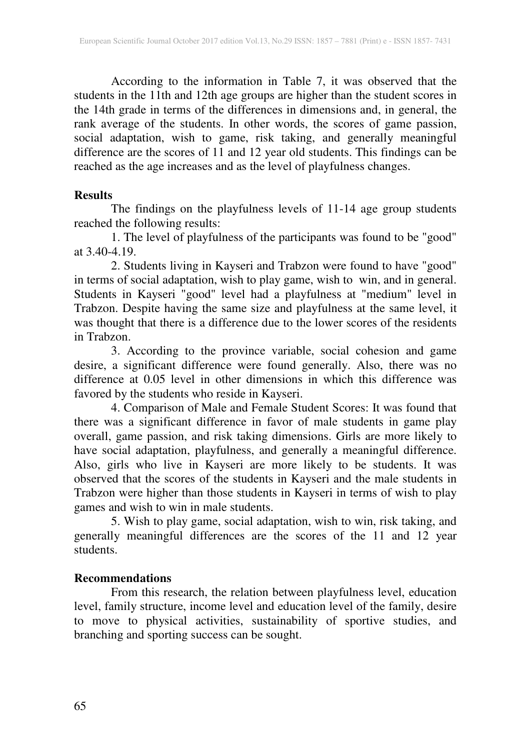According to the information in Table 7, it was observed that the students in the 11th and 12th age groups are higher than the student scores in the 14th grade in terms of the differences in dimensions and, in general, the rank average of the students. In other words, the scores of game passion, social adaptation, wish to game, risk taking, and generally meaningful difference are the scores of 11 and 12 year old students. This findings can be reached as the age increases and as the level of playfulness changes.

### **Results**

The findings on the playfulness levels of 11-14 age group students reached the following results:

1. The level of playfulness of the participants was found to be "good" at 3.40-4.19.

2. Students living in Kayseri and Trabzon were found to have "good" in terms of social adaptation, wish to play game, wish to win, and in general. Students in Kayseri "good" level had a playfulness at "medium" level in Trabzon. Despite having the same size and playfulness at the same level, it was thought that there is a difference due to the lower scores of the residents in Trabzon.

3. According to the province variable, social cohesion and game desire, a significant difference were found generally. Also, there was no difference at 0.05 level in other dimensions in which this difference was favored by the students who reside in Kayseri.

4. Comparison of Male and Female Student Scores: It was found that there was a significant difference in favor of male students in game play overall, game passion, and risk taking dimensions. Girls are more likely to have social adaptation, playfulness, and generally a meaningful difference. Also, girls who live in Kayseri are more likely to be students. It was observed that the scores of the students in Kayseri and the male students in Trabzon were higher than those students in Kayseri in terms of wish to play games and wish to win in male students.

5. Wish to play game, social adaptation, wish to win, risk taking, and generally meaningful differences are the scores of the 11 and 12 year students.

# **Recommendations**

From this research, the relation between playfulness level, education level, family structure, income level and education level of the family, desire to move to physical activities, sustainability of sportive studies, and branching and sporting success can be sought.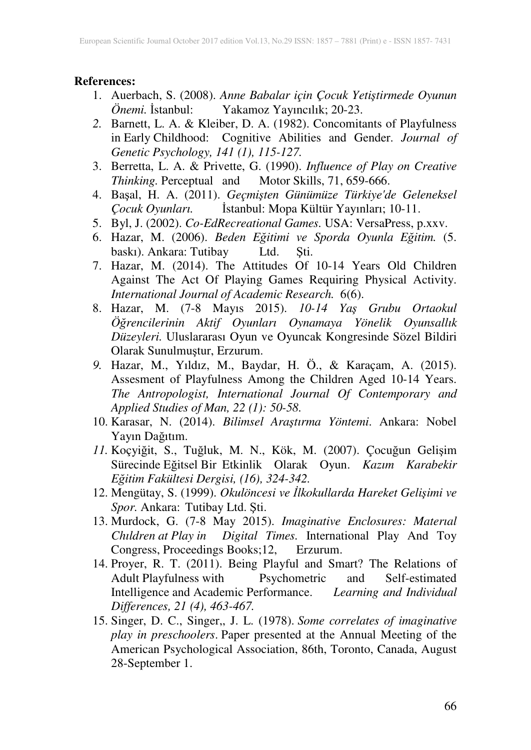#### **References:**

- 1. Auerbach, S. (2008). *Anne Babalar için Çocuk Yetiştirmede Oyunun Önemi.* İstanbul: Yakamoz Yayıncılık; 20-23.
- *2.* Barnett, L. A. & Kleiber, D. A. (1982). Concomitants of Playfulness in Early Childhood: Cognitive Abilities and Gender. *Journal of Genetic Psychology, 141 (1), 115-127.*
- 3. Berretta, L. A. & Privette, G. (1990). *Influence of Play on Creative Thinking.* Perceptual and Motor Skills, 71, 659-666.
- 4. Başal, H. A. (2011). *Geçmişten Günümüze Türkiye'de Geleneksel Çocuk Oyunları.* İstanbul: Mopa Kültür Yayınları; 10-11.
- 5. Byl, J. (2002). *Co-EdRecreational Games.* USA: VersaPress, p.xxv.
- 6. Hazar, M. (2006). *Beden Eğitimi ve Sporda Oyunla Eğitim.* (5. baskı). Ankara: Tutibay Ltd. Şti.
- 7. Hazar, M. (2014). The Attitudes Of 10-14 Years Old Children Against The Act Of Playing Games Requiring Physical Activity. *International Journal of Academic Research.* 6(6).
- 8. Hazar, M. (7-8 Mayıs 2015). *10-14 Yaş Grubu Ortaokul Öğrencilerinin Aktif Oyunları Oynamaya Yönelik Oyunsallık Düzeyleri.* Uluslararası Oyun ve Oyuncak Kongresinde Sözel Bildiri Olarak Sunulmuştur, Erzurum.
- *9.* Hazar, M., Yıldız, M., Baydar, H. Ö., & Karaçam, A. (2015). Assesment of Playfulness Among the Children Aged 10-14 Years. *The Antropologist, International Journal Of Contemporary and Applied Studies of Man, 22 (1): 50-58.*
- 10. Karasar, N. (2014). *Bilimsel Araştırma Yöntemi*. Ankara: Nobel Yayın Dağıtım.
- *11.* Koçyiğit, S., Tuğluk, M. N., Kök, M. (2007). Çocuğun Gelişim Sürecinde Eğitsel Bir Etkinlik Olarak Oyun. *Kazım Karabekir Eğitim Fakültesi Dergisi, (16), 324-342.*
- 12. Mengütay, S. (1999). *Okulöncesi ve İlkokullarda Hareket Gelişimi ve Spor.* Ankara: Tutibay Ltd. Şti.
- 13. Murdock, G. (7-8 May 2015). *Imaginative Enclosures: Materıal Chıldren at Play in Digital Times.* International Play And Toy Congress, Proceedings Books;12, Erzurum.
- 14. Proyer, R. T. (2011). Being Playful and Smart? The Relations of Adult Playfulness with Psychometric and Self-estimated Intelligence and Academic Performance. *Learning and Individual Differences, 21 (4), 463-467.*
- 15. Singer, D. C., Singer,, J. L. (1978). *Some correlates of imaginative play in preschoolers*. Paper presented at the Annual Meeting of the American Psychological Association, 86th, Toronto, Canada, August 28-September 1.